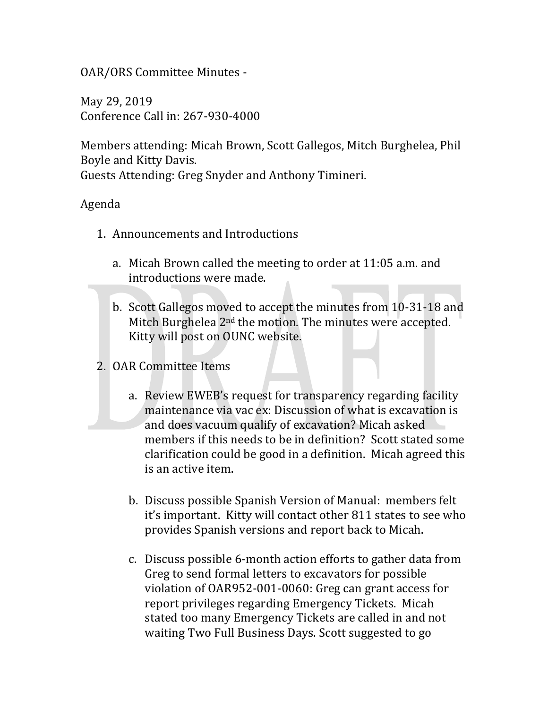OAR/ORS Committee Minutes -

May 29, 2019 Conference Call in: 267-930-4000

Members attending: Micah Brown, Scott Gallegos, Mitch Burghelea, Phil Boyle and Kitty Davis.

Guests Attending: Greg Snyder and Anthony Timineri.

## Agenda

- 1. Announcements and Introductions
	- a. Micah Brown called the meeting to order at 11:05 a.m. and introductions were made.
	- b. Scott Gallegos moved to accept the minutes from 10-31-18 and Mitch Burghelea 2<sup>nd</sup> the motion. The minutes were accepted. Kitty will post on OUNC website.
- 2. OAR Committee Items
	- a. Review EWEB's request for transparency regarding facility maintenance via vac ex: Discussion of what is excavation is and does vacuum qualify of excavation? Micah asked members if this needs to be in definition? Scott stated some clarification could be good in a definition. Micah agreed this is an active item.
	- b. Discuss possible Spanish Version of Manual: members felt it's important. Kitty will contact other 811 states to see who provides Spanish versions and report back to Micah.
	- c. Discuss possible 6-month action efforts to gather data from Greg to send formal letters to excavators for possible violation of OAR952-001-0060: Greg can grant access for report privileges regarding Emergency Tickets. Micah stated too many Emergency Tickets are called in and not waiting Two Full Business Days. Scott suggested to go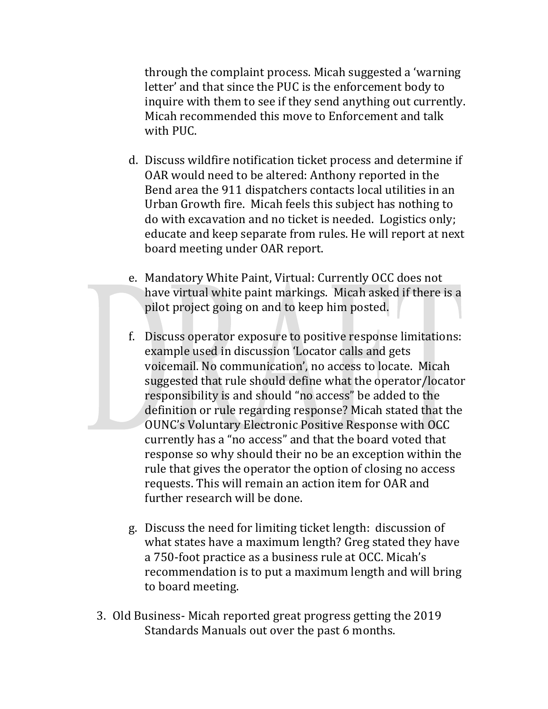through the complaint process. Micah suggested a 'warning letter' and that since the PUC is the enforcement body to inquire with them to see if they send anything out currently. Micah recommended this move to Enforcement and talk with PUC.

- d. Discuss wildfire notification ticket process and determine if OAR would need to be altered: Anthony reported in the Bend area the 911 dispatchers contacts local utilities in an Urban Growth fire. Micah feels this subject has nothing to do with excavation and no ticket is needed. Logistics only; educate and keep separate from rules. He will report at next board meeting under OAR report.
- e. Mandatory White Paint, Virtual: Currently OCC does not have virtual white paint markings. Micah asked if there is a pilot project going on and to keep him posted.
- f. Discuss operator exposure to positive response limitations: example used in discussion 'Locator calls and gets voicemail. No communication', no access to locate. Micah suggested that rule should define what the operator/locator responsibility is and should "no access" be added to the definition or rule regarding response? Micah stated that the OUNC's Voluntary Electronic Positive Response with OCC currently has a "no access" and that the board voted that response so why should their no be an exception within the rule that gives the operator the option of closing no access requests. This will remain an action item for OAR and further research will be done.
- g. Discuss the need for limiting ticket length: discussion of what states have a maximum length? Greg stated they have a 750-foot practice as a business rule at OCC. Micah's recommendation is to put a maximum length and will bring to board meeting.
- 3. Old Business- Micah reported great progress getting the 2019 Standards Manuals out over the past 6 months.